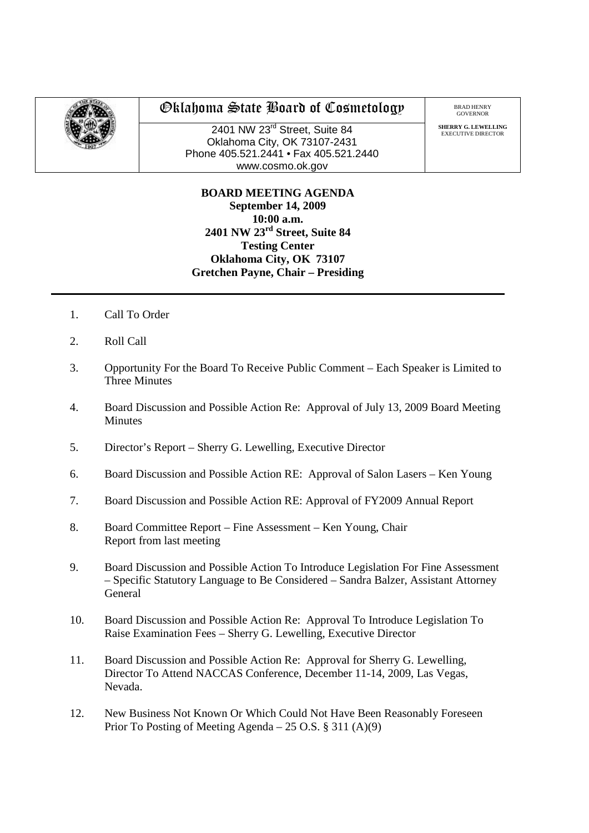

## Oklahoma State Board of Cosmetology

2401 NW 23rd Street, Suite 84 Oklahoma City, OK 73107-2431 Phone 405.521.2441 • Fax 405.521.2440 www.cosmo.ok.gov

**SHERRY G. LEWELLING** EXECUTIVE DIRECTO

## **BOARD MEETING AGENDA September 14, 2009 10:00 a.m. 2401 NW 23rd Street, Suite 84 Testing Center Oklahoma City, OK 73107 Gretchen Payne, Chair – Presiding**

- 1. Call To Order
- 2. Roll Call
- 3. Opportunity For the Board To Receive Public Comment Each Speaker is Limited to Three Minutes
- 4. Board Discussion and Possible Action Re: Approval of July 13, 2009 Board Meeting Minutes
- 5. Director's Report Sherry G. Lewelling, Executive Director
- 6. Board Discussion and Possible Action RE: Approval of Salon Lasers Ken Young
- 7. Board Discussion and Possible Action RE: Approval of FY2009 Annual Report
- 8. Board Committee Report Fine Assessment Ken Young, Chair Report from last meeting
- 9. Board Discussion and Possible Action To Introduce Legislation For Fine Assessment – Specific Statutory Language to Be Considered – Sandra Balzer, Assistant Attorney General
- 10. Board Discussion and Possible Action Re: Approval To Introduce Legislation To Raise Examination Fees – Sherry G. Lewelling, Executive Director
- 11. Board Discussion and Possible Action Re: Approval for Sherry G. Lewelling, Director To Attend NACCAS Conference, December 11-14, 2009, Las Vegas, Nevada.
- 12. New Business Not Known Or Which Could Not Have Been Reasonably Foreseen Prior To Posting of Meeting Agenda – 25 O.S. § 311 (A)(9)